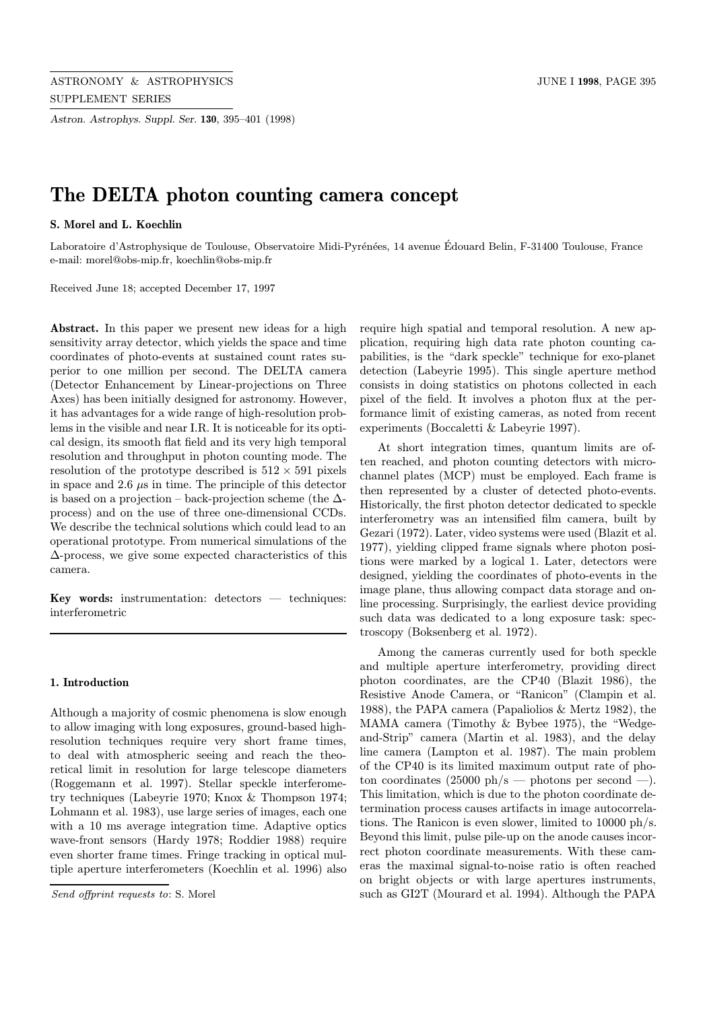Astron. Astrophys. Suppl. Ser. 130, 395–401 (1998)

# The DELTA photon counting camera concept

## S. Morel and L. Koechlin

Laboratoire d'Astrophysique de Toulouse, Observatoire Midi-Pyrénées, 14 avenue Édouard Belin, F-31400 Toulouse, France e-mail: morel@obs-mip.fr, koechlin@obs-mip.fr

Received June 18; accepted December 17, 1997

Abstract. In this paper we present new ideas for a high sensitivity array detector, which yields the space and time coordinates of photo-events at sustained count rates superior to one million per second. The DELTA camera (Detector Enhancement by Linear-projections on Three Axes) has been initially designed for astronomy. However, it has advantages for a wide range of high-resolution problems in the visible and near I.R. It is noticeable for its optical design, its smooth flat field and its very high temporal resolution and throughput in photon counting mode. The resolution of the prototype described is  $512 \times 591$  pixels in space and  $2.6 \mu s$  in time. The principle of this detector is based on a projection – back-projection scheme (the  $\Delta$ process) and on the use of three one-dimensional CCDs. We describe the technical solutions which could lead to an operational prototype. From numerical simulations of the ∆-process, we give some expected characteristics of this camera.

Key words: instrumentation: detectors  $-$  techniques: interferometric

#### 1. Introduction

Although a majority of cosmic phenomena is slow enough to allow imaging with long exposures, ground-based highresolution techniques require very short frame times, to deal with atmospheric seeing and reach the theoretical limit in resolution for large telescope diameters (Roggemann et al. 1997). Stellar speckle interferometry techniques (Labeyrie 1970; Knox & Thompson 1974; Lohmann et al. 1983), use large series of images, each one with a 10 ms average integration time. Adaptive optics wave-front sensors (Hardy 1978; Roddier 1988) require even shorter frame times. Fringe tracking in optical multiple aperture interferometers (Koechlin et al. 1996) also

require high spatial and temporal resolution. A new application, requiring high data rate photon counting capabilities, is the "dark speckle" technique for exo-planet detection (Labeyrie 1995). This single aperture method consists in doing statistics on photons collected in each pixel of the field. It involves a photon flux at the performance limit of existing cameras, as noted from recent experiments (Boccaletti & Labeyrie 1997).

At short integration times, quantum limits are often reached, and photon counting detectors with microchannel plates (MCP) must be employed. Each frame is then represented by a cluster of detected photo-events. Historically, the first photon detector dedicated to speckle interferometry was an intensified film camera, built by Gezari (1972). Later, video systems were used (Blazit et al. 1977), yielding clipped frame signals where photon positions were marked by a logical 1. Later, detectors were designed, yielding the coordinates of photo-events in the image plane, thus allowing compact data storage and online processing. Surprisingly, the earliest device providing such data was dedicated to a long exposure task: spectroscopy (Boksenberg et al. 1972).

Among the cameras currently used for both speckle and multiple aperture interferometry, providing direct photon coordinates, are the CP40 (Blazit 1986), the Resistive Anode Camera, or "Ranicon" (Clampin et al. 1988), the PAPA camera (Papaliolios & Mertz 1982), the MAMA camera (Timothy & Bybee 1975), the "Wedgeand-Strip" camera (Martin et al. 1983), and the delay line camera (Lampton et al. 1987). The main problem of the CP40 is its limited maximum output rate of photon coordinates  $(25000 \text{ ph/s} - \text{photons per second } -).$ This limitation, which is due to the photon coordinate determination process causes artifacts in image autocorrelations. The Ranicon is even slower, limited to 10000 ph/s. Beyond this limit, pulse pile-up on the anode causes incorrect photon coordinate measurements. With these cameras the maximal signal-to-noise ratio is often reached on bright objects or with large apertures instruments, such as GI2T (Mourard et al. 1994). Although the PAPA

Send offprint requests to: S. Morel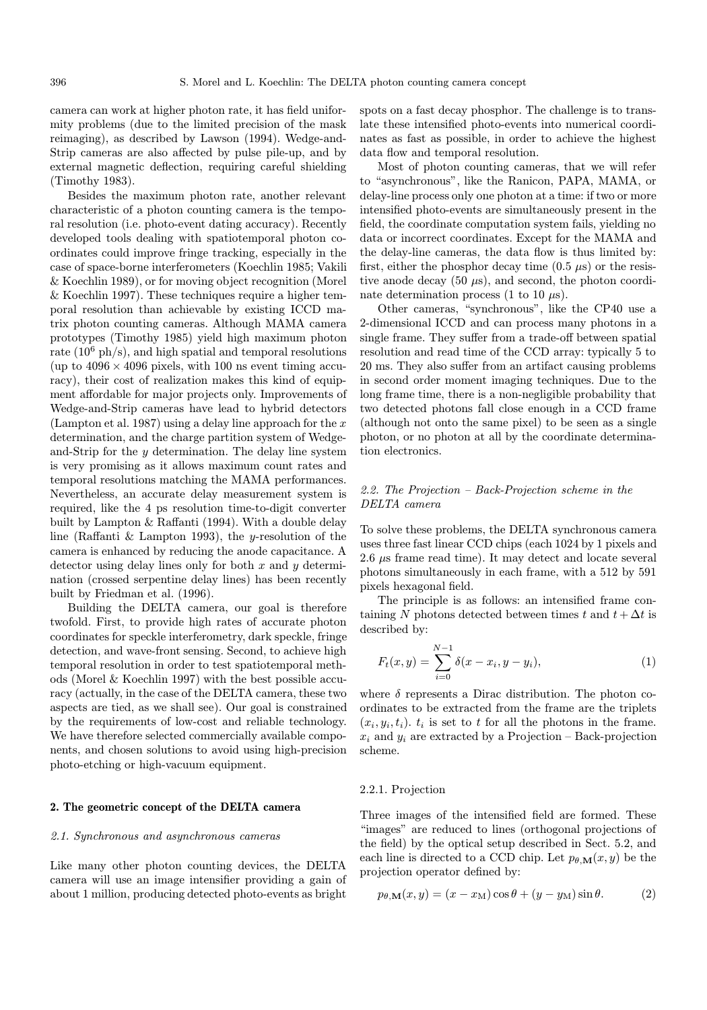camera can work at higher photon rate, it has field uniformity problems (due to the limited precision of the mask reimaging), as described by Lawson (1994). Wedge-and-Strip cameras are also affected by pulse pile-up, and by external magnetic deflection, requiring careful shielding (Timothy 1983).

Besides the maximum photon rate, another relevant characteristic of a photon counting camera is the temporal resolution (i.e. photo-event dating accuracy). Recently developed tools dealing with spatiotemporal photon coordinates could improve fringe tracking, especially in the case of space-borne interferometers (Koechlin 1985; Vakili & Koechlin 1989), or for moving object recognition (Morel & Koechlin 1997). These techniques require a higher temporal resolution than achievable by existing ICCD matrix photon counting cameras. Although MAMA camera prototypes (Timothy 1985) yield high maximum photon rate  $(10^6 \text{ ph/s})$ , and high spatial and temporal resolutions (up to  $4096 \times 4096$  pixels, with 100 ns event timing accuracy), their cost of realization makes this kind of equipment affordable for major projects only. Improvements of Wedge-and-Strip cameras have lead to hybrid detectors (Lampton et al. 1987) using a delay line approach for the  $x$ determination, and the charge partition system of Wedgeand-Strip for the  $y$  determination. The delay line system is very promising as it allows maximum count rates and temporal resolutions matching the MAMA performances. Nevertheless, an accurate delay measurement system is required, like the 4 ps resolution time-to-digit converter built by Lampton & Raffanti (1994). With a double delay line (Raffanti & Lampton 1993), the y-resolution of the camera is enhanced by reducing the anode capacitance. A detector using delay lines only for both  $x$  and  $y$  determination (crossed serpentine delay lines) has been recently built by Friedman et al. (1996).

Building the DELTA camera, our goal is therefore twofold. First, to provide high rates of accurate photon coordinates for speckle interferometry, dark speckle, fringe detection, and wave-front sensing. Second, to achieve high temporal resolution in order to test spatiotemporal methods (Morel & Koechlin 1997) with the best possible accuracy (actually, in the case of the DELTA camera, these two aspects are tied, as we shall see). Our goal is constrained by the requirements of low-cost and reliable technology. We have therefore selected commercially available components, and chosen solutions to avoid using high-precision photo-etching or high-vacuum equipment.

#### 2. The geometric concept of the DELTA camera

# 2.1. Synchronous and asynchronous cameras

Like many other photon counting devices, the DELTA camera will use an image intensifier providing a gain of about 1 million, producing detected photo-events as bright spots on a fast decay phosphor. The challenge is to translate these intensified photo-events into numerical coordinates as fast as possible, in order to achieve the highest data flow and temporal resolution.

Most of photon counting cameras, that we will refer to "asynchronous", like the Ranicon, PAPA, MAMA, or delay-line process only one photon at a time: if two or more intensified photo-events are simultaneously present in the field, the coordinate computation system fails, yielding no data or incorrect coordinates. Except for the MAMA and the delay-line cameras, the data flow is thus limited by: first, either the phosphor decay time  $(0.5 \mu s)$  or the resistive anode decay  $(50 \mu s)$ , and second, the photon coordinate determination process (1 to 10  $\mu$ s).

Other cameras, "synchronous", like the CP40 use a 2-dimensional ICCD and can process many photons in a single frame. They suffer from a trade-off between spatial resolution and read time of the CCD array: typically 5 to 20 ms. They also suffer from an artifact causing problems in second order moment imaging techniques. Due to the long frame time, there is a non-negligible probability that two detected photons fall close enough in a CCD frame (although not onto the same pixel) to be seen as a single photon, or no photon at all by the coordinate determination electronics.

# 2.2. The Projection – Back-Projection scheme in the DELTA camera

To solve these problems, the DELTA synchronous camera uses three fast linear CCD chips (each 1024 by 1 pixels and 2.6 µs frame read time). It may detect and locate several photons simultaneously in each frame, with a 512 by 591 pixels hexagonal field.

The principle is as follows: an intensified frame containing N photons detected between times t and  $t + \Delta t$  is described by:

$$
F_t(x,y) = \sum_{i=0}^{N-1} \delta(x - x_i, y - y_i),
$$
 (1)

where  $\delta$  represents a Dirac distribution. The photon coordinates to be extracted from the frame are the triplets  $(x_i, y_i, t_i)$ .  $t_i$  is set to t for all the photons in the frame.  $x_i$  and  $y_i$  are extracted by a Projection – Back-projection scheme.

# 2.2.1. Projection

Three images of the intensified field are formed. These "images" are reduced to lines (orthogonal projections of the field) by the optical setup described in Sect. 5.2, and each line is directed to a CCD chip. Let  $p_{\theta,\mathbf{M}}(x, y)$  be the projection operator defined by:

$$
p_{\theta,\mathbf{M}}(x,y) = (x - x_{\mathbf{M}})\cos\theta + (y - y_{\mathbf{M}})\sin\theta.
$$
 (2)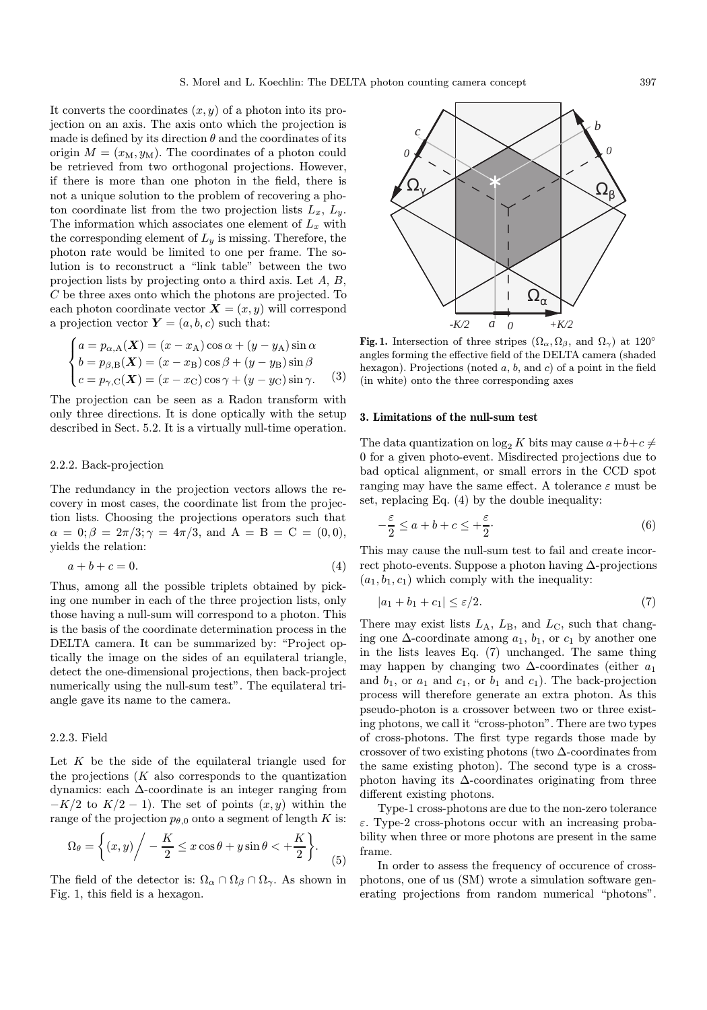It converts the coordinates  $(x, y)$  of a photon into its projection on an axis. The axis onto which the projection is made is defined by its direction  $\theta$  and the coordinates of its origin  $M = (x_M, y_M)$ . The coordinates of a photon could be retrieved from two orthogonal projections. However, if there is more than one photon in the field, there is not a unique solution to the problem of recovering a photon coordinate list from the two projection lists  $L_x$ ,  $L_y$ . The information which associates one element of  $L_x$  with the corresponding element of  $L_y$  is missing. Therefore, the photon rate would be limited to one per frame. The solution is to reconstruct a "link table" between the two projection lists by projecting onto a third axis. Let A, B, C be three axes onto which the photons are projected. To each photon coordinate vector  $\mathbf{X} = (x, y)$  will correspond a projection vector  $\mathbf{Y} = (a, b, c)$  such that:

$$
\begin{cases}\na = p_{\alpha, A}(\boldsymbol{X}) = (x - x_A)\cos\alpha + (y - y_A)\sin\alpha \\
b = p_{\beta, B}(\boldsymbol{X}) = (x - x_B)\cos\beta + (y - y_B)\sin\beta \\
c = p_{\gamma, C}(\boldsymbol{X}) = (x - x_C)\cos\gamma + (y - y_C)\sin\gamma.\n\end{cases}
$$
\n(3)

The projection can be seen as a Radon transform with only three directions. It is done optically with the setup described in Sect. 5.2. It is a virtually null-time operation.

## 2.2.2. Back-projection

The redundancy in the projection vectors allows the recovery in most cases, the coordinate list from the projection lists. Choosing the projections operators such that  $\alpha = 0; \beta = 2\pi/3; \gamma = 4\pi/3$ , and  $A = B = C = (0, 0)$ , yields the relation:

$$
a+b+c=0.\t\t(4)
$$

Thus, among all the possible triplets obtained by picking one number in each of the three projection lists, only those having a null-sum will correspond to a photon. This is the basis of the coordinate determination process in the DELTA camera. It can be summarized by: "Project optically the image on the sides of an equilateral triangle, detect the one-dimensional projections, then back-project numerically using the null-sum test". The equilateral triangle gave its name to the camera.

### 2.2.3. Field

Let  $K$  be the side of the equilateral triangle used for the projections  $(K$  also corresponds to the quantization dynamics: each ∆-coordinate is an integer ranging from  $-K/2$  to  $K/2 - 1$ ). The set of points  $(x, y)$  within the range of the projection  $p_{\theta,0}$  onto a segment of length K is:

$$
\Omega_{\theta} = \left\{ (x, y) \middle/ -\frac{K}{2} \le x \cos \theta + y \sin \theta < +\frac{K}{2} \right\}.
$$
 (5)

The field of the detector is:  $\Omega_{\alpha} \cap \Omega_{\beta} \cap \Omega_{\gamma}$ . As shown in Fig. 1, this field is a hexagon.



Fig. 1. Intersection of three stripes  $(\Omega_{\alpha}, \Omega_{\beta}, \text{ and } \Omega_{\gamma})$  at  $120^{\circ}$ angles forming the effective field of the DELTA camera (shaded hexagon). Projections (noted  $a, b$ , and  $c$ ) of a point in the field (in white) onto the three corresponding axes

#### 3. Limitations of the null-sum test

The data quantization on  $\log_2 K$  bits may cause  $a+b+c \neq 0$ 0 for a given photo-event. Misdirected projections due to bad optical alignment, or small errors in the CCD spot ranging may have the same effect. A tolerance  $\varepsilon$  must be set, replacing Eq. (4) by the double inequality:

$$
-\frac{\varepsilon}{2} \le a + b + c \le +\frac{\varepsilon}{2}.\tag{6}
$$

This may cause the null-sum test to fail and create incorrect photo-events. Suppose a photon having  $\Delta$ -projections  $(a_1, b_1, c_1)$  which comply with the inequality:

$$
|a_1 + b_1 + c_1| \le \varepsilon/2. \tag{7}
$$

There may exist lists  $L_A$ ,  $L_B$ , and  $L_C$ , such that changing one  $\Delta$ -coordinate among  $a_1$ ,  $b_1$ , or  $c_1$  by another one in the lists leaves Eq. (7) unchanged. The same thing may happen by changing two  $\Delta$ -coordinates (either  $a_1$ ) and  $b_1$ , or  $a_1$  and  $c_1$ , or  $b_1$  and  $c_1$ ). The back-projection process will therefore generate an extra photon. As this pseudo-photon is a crossover between two or three existing photons, we call it "cross-photon". There are two types of cross-photons. The first type regards those made by crossover of two existing photons (two ∆-coordinates from the same existing photon). The second type is a crossphoton having its  $\Delta$ -coordinates originating from three different existing photons.

Type-1 cross-photons are due to the non-zero tolerance  $\varepsilon$ . Type-2 cross-photons occur with an increasing probability when three or more photons are present in the same frame.

In order to assess the frequency of occurence of crossphotons, one of us (SM) wrote a simulation software generating projections from random numerical "photons".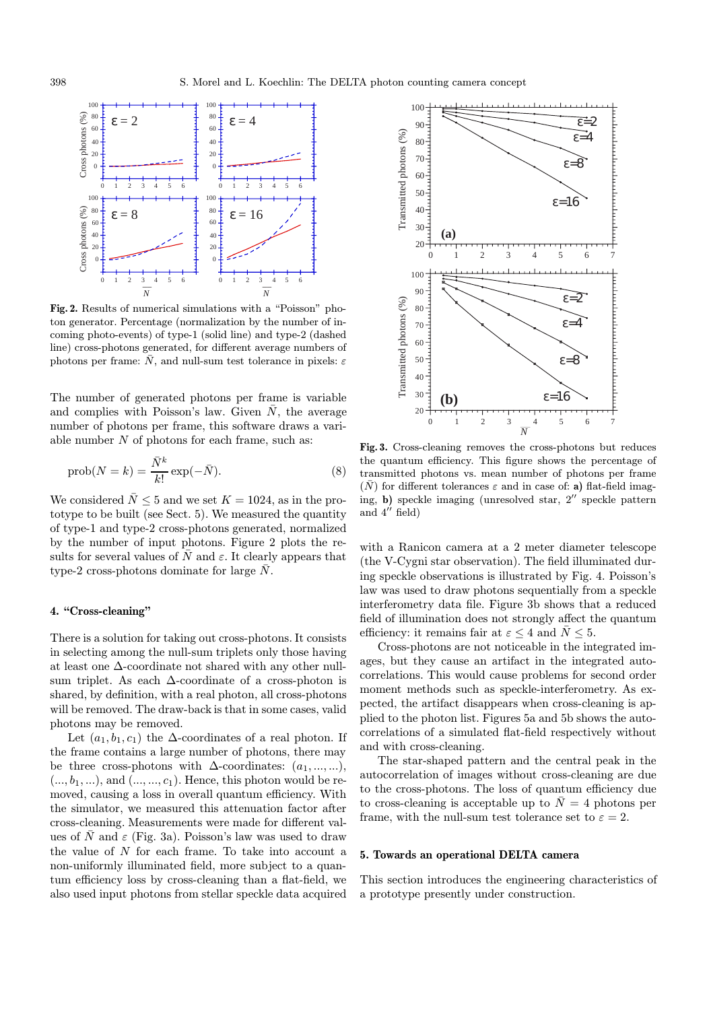

Fig. 2. Results of numerical simulations with a "Poisson" photon generator. Percentage (normalization by the number of incoming photo-events) of type-1 (solid line) and type-2 (dashed line) cross-photons generated, for different average numbers of photons per frame:  $\bar{N}$ , and null-sum test tolerance in pixels:  $\varepsilon$ 

The number of generated photons per frame is variable and complies with Poisson's law. Given  $\overline{N}$ , the average number of photons per frame, this software draws a variable number  $N$  of photons for each frame, such as:

$$
\text{prob}(N=k) = \frac{\bar{N}^k}{k!} \exp(-\bar{N}).\tag{8}
$$

We considered  $\bar{N}$  < 5 and we set  $K = 1024$ , as in the prototype to be built (see Sect. 5). We measured the quantity of type-1 and type-2 cross-photons generated, normalized by the number of input photons. Figure 2 plots the results for several values of  $\overline{N}$  and  $\varepsilon$ . It clearly appears that type-2 cross-photons dominate for large  $\bar{N}$ .

## 4. "Cross-cleaning"

There is a solution for taking out cross-photons. It consists in selecting among the null-sum triplets only those having at least one ∆-coordinate not shared with any other nullsum triplet. As each ∆-coordinate of a cross-photon is shared, by definition, with a real photon, all cross-photons will be removed. The draw-back is that in some cases, valid photons may be removed.

Let  $(a_1, b_1, c_1)$  the  $\Delta$ -coordinates of a real photon. If the frame contains a large number of photons, there may be three cross-photons with  $\Delta$ -coordinates:  $(a_1, ..., ...),$  $(..., b_1, ...)$ , and  $(..., ..., c_1)$ . Hence, this photon would be removed, causing a loss in overall quantum efficiency. With the simulator, we measured this attenuation factor after cross-cleaning. Measurements were made for different values of  $\overline{N}$  and  $\varepsilon$  (Fig. 3a). Poisson's law was used to draw the value of N for each frame. To take into account a non-uniformly illuminated field, more subject to a quantum efficiency loss by cross-cleaning than a flat-field, we also used input photons from stellar speckle data acquired



Fig. 3. Cross-cleaning removes the cross-photons but reduces the quantum efficiency. This figure shows the percentage of transmitted photons vs. mean number of photons per frame  $(\bar{N})$  for different tolerances  $\varepsilon$  and in case of: a) flat-field imaging, b) speckle imaging (unresolved star,  $2''$  speckle pattern and  $4''$  field)

with a Ranicon camera at a 2 meter diameter telescope (the V-Cygni star observation). The field illuminated during speckle observations is illustrated by Fig. 4. Poisson's law was used to draw photons sequentially from a speckle interferometry data file. Figure 3b shows that a reduced field of illumination does not strongly affect the quantum efficiency: it remains fair at  $\varepsilon \leq 4$  and  $\bar{N} \leq 5$ .

Cross-photons are not noticeable in the integrated images, but they cause an artifact in the integrated autocorrelations. This would cause problems for second order moment methods such as speckle-interferometry. As expected, the artifact disappears when cross-cleaning is applied to the photon list. Figures 5a and 5b shows the autocorrelations of a simulated flat-field respectively without and with cross-cleaning.

The star-shaped pattern and the central peak in the autocorrelation of images without cross-cleaning are due to the cross-photons. The loss of quantum efficiency due to cross-cleaning is acceptable up to  $\overline{N} = 4$  photons per frame, with the null-sum test tolerance set to  $\varepsilon = 2$ .

## 5. Towards an operational DELTA camera

This section introduces the engineering characteristics of a prototype presently under construction.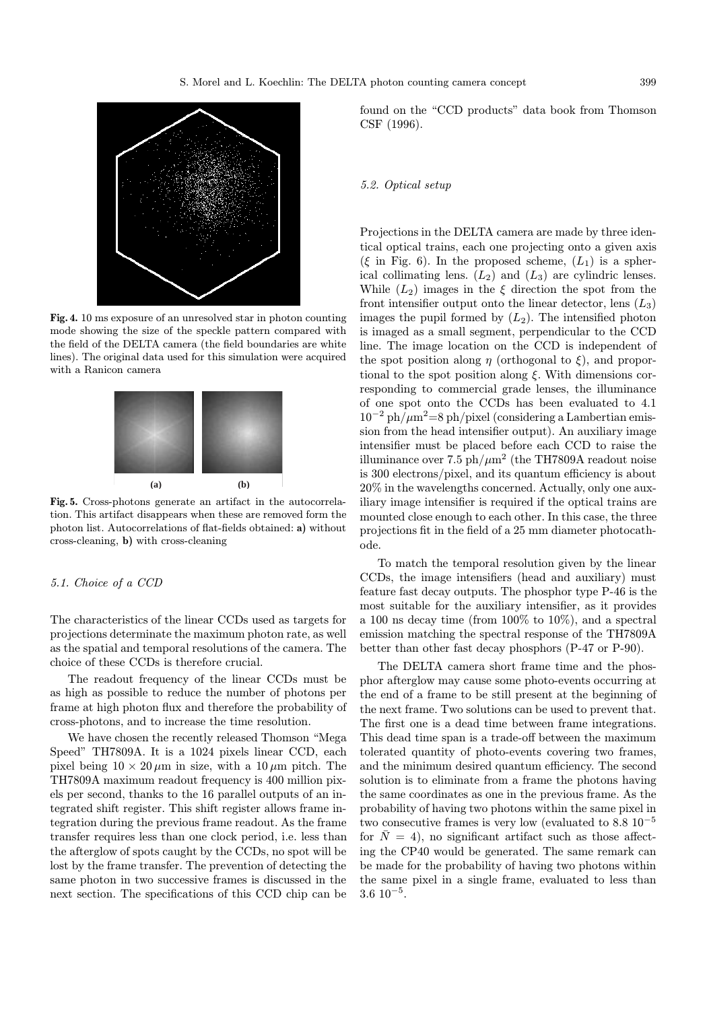

Fig. 4. 10 ms exposure of an unresolved star in photon counting mode showing the size of the speckle pattern compared with the field of the DELTA camera (the field boundaries are white lines). The original data used for this simulation were acquired with a Ranicon camera



Fig. 5. Cross-photons generate an artifact in the autocorrelation. This artifact disappears when these are removed form the photon list. Autocorrelations of flat-fields obtained: a) without cross-cleaning, b) with cross-cleaning

#### 5.1. Choice of a CCD

The characteristics of the linear CCDs used as targets for projections determinate the maximum photon rate, as well as the spatial and temporal resolutions of the camera. The choice of these CCDs is therefore crucial.

The readout frequency of the linear CCDs must be as high as possible to reduce the number of photons per frame at high photon flux and therefore the probability of cross-photons, and to increase the time resolution.

We have chosen the recently released Thomson "Mega Speed" TH7809A. It is a 1024 pixels linear CCD, each pixel being  $10 \times 20 \,\mu \text{m}$  in size, with a  $10 \,\mu \text{m}$  pitch. The TH7809A maximum readout frequency is 400 million pixels per second, thanks to the 16 parallel outputs of an integrated shift register. This shift register allows frame integration during the previous frame readout. As the frame transfer requires less than one clock period, i.e. less than the afterglow of spots caught by the CCDs, no spot will be lost by the frame transfer. The prevention of detecting the same photon in two successive frames is discussed in the next section. The specifications of this CCD chip can be

found on the "CCD products" data book from Thomson CSF (1996).

## 5.2. Optical setup

Projections in the DELTA camera are made by three identical optical trains, each one projecting onto a given axis (ξ in Fig. 6). In the proposed scheme,  $(L_1)$  is a spherical collimating lens.  $(L_2)$  and  $(L_3)$  are cylindric lenses. While  $(L_2)$  images in the  $\xi$  direction the spot from the front intensifier output onto the linear detector, lens  $(L_3)$ images the pupil formed by  $(L_2)$ . The intensified photon is imaged as a small segment, perpendicular to the CCD line. The image location on the CCD is independent of the spot position along  $\eta$  (orthogonal to  $\xi$ ), and proportional to the spot position along  $\xi$ . With dimensions corresponding to commercial grade lenses, the illuminance of one spot onto the CCDs has been evaluated to 4.1  $10^{-2}$  ph/ $\mu$ m<sup>2</sup>=8 ph/pixel (considering a Lambertian emission from the head intensifier output). An auxiliary image intensifier must be placed before each CCD to raise the illuminance over 7.5 ph/ $\mu$ m<sup>2</sup> (the TH7809A readout noise is 300 electrons/pixel, and its quantum efficiency is about 20% in the wavelengths concerned. Actually, only one auxiliary image intensifier is required if the optical trains are mounted close enough to each other. In this case, the three projections fit in the field of a 25 mm diameter photocathode.

To match the temporal resolution given by the linear CCDs, the image intensifiers (head and auxiliary) must feature fast decay outputs. The phosphor type P-46 is the most suitable for the auxiliary intensifier, as it provides a 100 ns decay time (from 100% to 10%), and a spectral emission matching the spectral response of the TH7809A better than other fast decay phosphors (P-47 or P-90).

The DELTA camera short frame time and the phosphor afterglow may cause some photo-events occurring at the end of a frame to be still present at the beginning of the next frame. Two solutions can be used to prevent that. The first one is a dead time between frame integrations. This dead time span is a trade-off between the maximum tolerated quantity of photo-events covering two frames, and the minimum desired quantum efficiency. The second solution is to eliminate from a frame the photons having the same coordinates as one in the previous frame. As the probability of having two photons within the same pixel in two consecutive frames is very low (evaluated to  $8.8 \times 10^{-5}$ ) for  $\bar{N} = 4$ ), no significant artifact such as those affecting the CP40 would be generated. The same remark can be made for the probability of having two photons within the same pixel in a single frame, evaluated to less than 3.6 10<sup>−</sup><sup>5</sup>.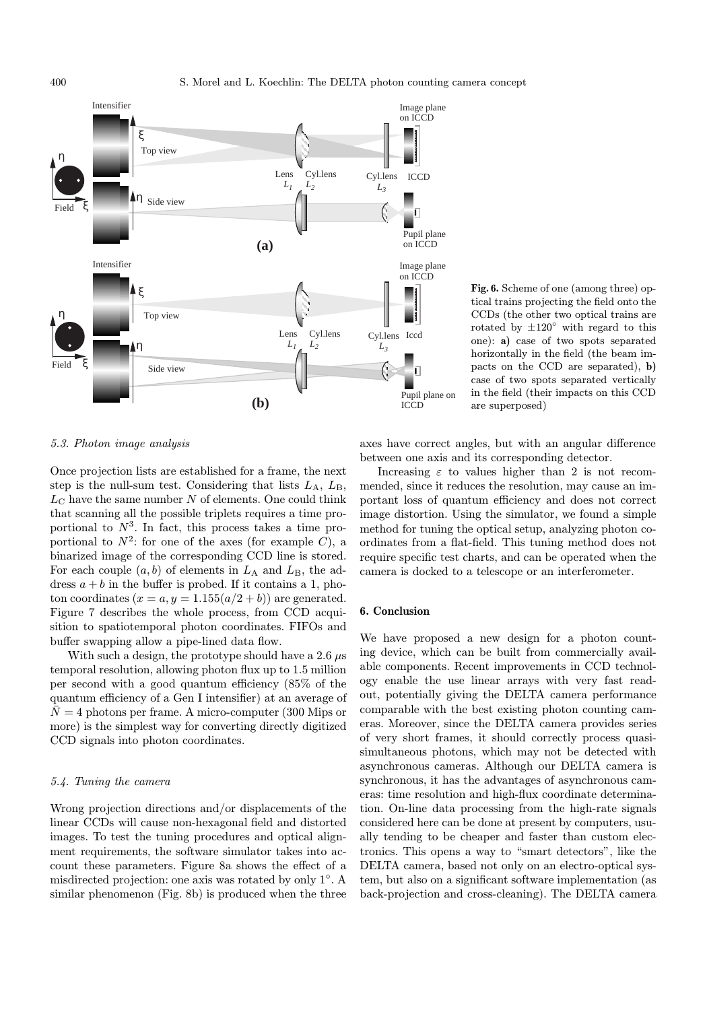

Fig. 6. Scheme of one (among three) optical trains projecting the field onto the CCDs (the other two optical trains are rotated by  $\pm 120^\circ$  with regard to this one): a) case of two spots separated horizontally in the field (the beam impacts on the CCD are separated), b) case of two spots separated vertically in the field (their impacts on this CCD are superposed)

#### 5.3. Photon image analysis

Once projection lists are established for a frame, the next step is the null-sum test. Considering that lists  $L_A$ ,  $L_B$ ,  $L_{\text{C}}$  have the same number N of elements. One could think that scanning all the possible triplets requires a time proportional to  $N^3$ . In fact, this process takes a time proportional to  $N^2$ : for one of the axes (for example C), a binarized image of the corresponding CCD line is stored. For each couple  $(a, b)$  of elements in  $L_A$  and  $L_B$ , the address  $a + b$  in the buffer is probed. If it contains a 1, photon coordinates  $(x = a, y = 1.155(a/2 + b))$  are generated. Figure 7 describes the whole process, from CCD acquisition to spatiotemporal photon coordinates. FIFOs and buffer swapping allow a pipe-lined data flow.

With such a design, the prototype should have a 2.6  $\mu$ s temporal resolution, allowing photon flux up to 1.5 million per second with a good quantum efficiency (85% of the quantum efficiency of a Gen I intensifier) at an average of  $\overline{N} = 4$  photons per frame. A micro-computer (300 Mips or more) is the simplest way for converting directly digitized CCD signals into photon coordinates.

# 5.4. Tuning the camera

Wrong projection directions and/or displacements of the linear CCDs will cause non-hexagonal field and distorted images. To test the tuning procedures and optical alignment requirements, the software simulator takes into account these parameters. Figure 8a shows the effect of a misdirected projection: one axis was rotated by only 1◦. A similar phenomenon (Fig. 8b) is produced when the three

axes have correct angles, but with an angular difference between one axis and its corresponding detector.

Increasing  $\varepsilon$  to values higher than 2 is not recommended, since it reduces the resolution, may cause an important loss of quantum efficiency and does not correct image distortion. Using the simulator, we found a simple method for tuning the optical setup, analyzing photon coordinates from a flat-field. This tuning method does not require specific test charts, and can be operated when the camera is docked to a telescope or an interferometer.

#### 6. Conclusion

We have proposed a new design for a photon counting device, which can be built from commercially available components. Recent improvements in CCD technology enable the use linear arrays with very fast readout, potentially giving the DELTA camera performance comparable with the best existing photon counting cameras. Moreover, since the DELTA camera provides series of very short frames, it should correctly process quasisimultaneous photons, which may not be detected with asynchronous cameras. Although our DELTA camera is synchronous, it has the advantages of asynchronous cameras: time resolution and high-flux coordinate determination. On-line data processing from the high-rate signals considered here can be done at present by computers, usually tending to be cheaper and faster than custom electronics. This opens a way to "smart detectors", like the DELTA camera, based not only on an electro-optical system, but also on a significant software implementation (as back-projection and cross-cleaning). The DELTA camera